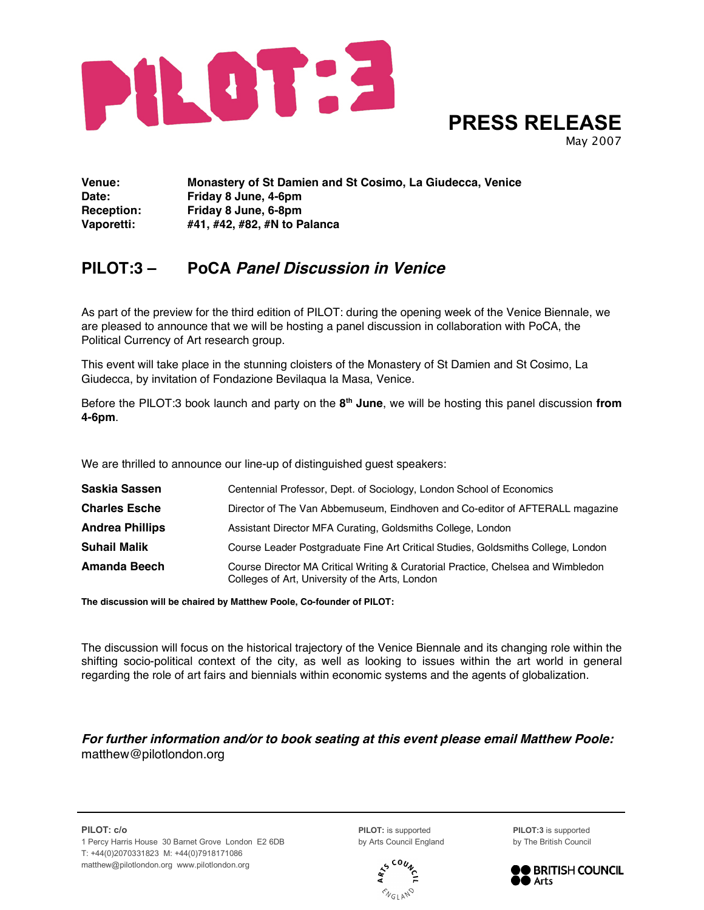

**PRESS RELEASE**

May 2007

**Venue: Monastery of St Damien and St Cosimo, La Giudecca, Venice Date: Friday 8 June, 4-6pm Reception: Friday 8 June, 6-8pm Vaporetti: #41, #42, #82, #N to Palanca**

## **PILOT:3 – PoCA Panel Discussion in Venice**

As part of the preview for the third edition of PILOT: during the opening week of the Venice Biennale, we are pleased to announce that we will be hosting a panel discussion in collaboration with PoCA, the Political Currency of Art research group.

This event will take place in the stunning cloisters of the Monastery of St Damien and St Cosimo, La Giudecca, by invitation of Fondazione Bevilaqua la Masa, Venice.

Before the PILOT:3 book launch and party on the **8th June**, we will be hosting this panel discussion **from 4-6pm**.

We are thrilled to announce our line-up of distinguished guest speakers:

| Saskia Sassen          | Centennial Professor, Dept. of Sociology, London School of Economics                                                                |
|------------------------|-------------------------------------------------------------------------------------------------------------------------------------|
| <b>Charles Esche</b>   | Director of The Van Abbemuseum, Eindhoven and Co-editor of AFTERALL magazine                                                        |
| <b>Andrea Phillips</b> | Assistant Director MFA Curating, Goldsmiths College, London                                                                         |
| <b>Suhail Malik</b>    | Course Leader Postgraduate Fine Art Critical Studies, Goldsmiths College, London                                                    |
| Amanda Beech           | Course Director MA Critical Writing & Curatorial Practice, Chelsea and Wimbledon<br>Colleges of Art, University of the Arts, London |

**The discussion will be chaired by Matthew Poole, Co-founder of PILOT:**

The discussion will focus on the historical trajectory of the Venice Biennale and its changing role within the shifting socio-political context of the city, as well as looking to issues within the art world in general regarding the role of art fairs and biennials within economic systems and the agents of globalization.

## **For further information and/or to book seating at this event please email Matthew Poole:** matthew@pilotlondon.org

**PILOT: c/o PILOT:** is supported **PILOT:3** is supported 1 Percy Harris House 30 Barnet Grove London E2 6DB by Arts Council England by The British Council T: +44(0)2070331823 M: +44(0)7918171086 matthew@pilotlondon.org www.pilotlondon.org